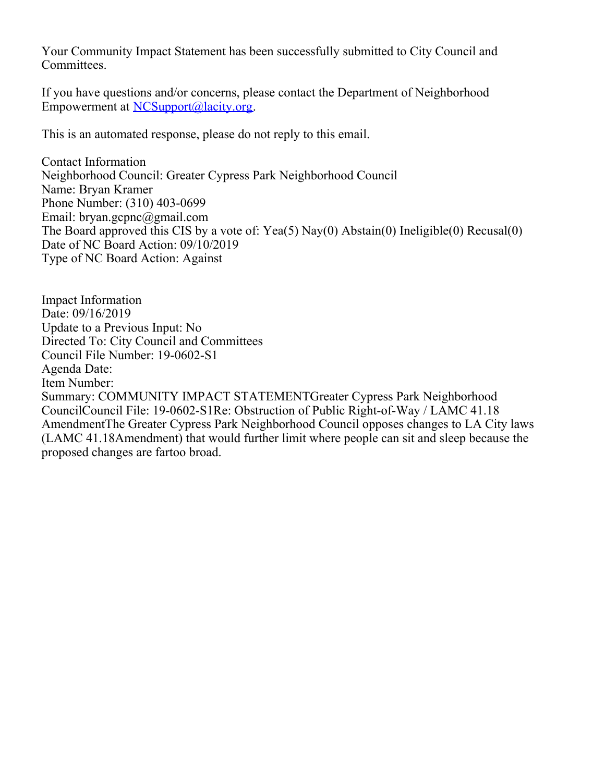Your Community Impact Statement has been successfully submitted to City Council and Committees.

If you have questions and/or concerns, please contact the Department of Neighborhood Empowerment at [NCSupport@lacity.org](mailto:NCSupport@lacity.org).

This is an automated response, please do not reply to this email.

Contact Information Neighborhood Council: Greater Cypress Park Neighborhood Council Name: Bryan Kramer Phone Number: (310) 403-0699 Email: bryan.gcpnc@gmail.com The Board approved this CIS by a vote of: Yea(5) Nay(0) Abstain(0) Ineligible(0) Recusal(0) Date of NC Board Action: 09/10/2019 Type of NC Board Action: Against

Impact Information Date: 09/16/2019 Update to a Previous Input: No Directed To: City Council and Committees Council File Number: 19-0602-S1 Agenda Date: Item Number: Summary: COMMUNITY IMPACT STATEMENTGreater Cypress Park Neighborhood CouncilCouncil File: 19-0602-S1Re: Obstruction of Public Right-of-Way / LAMC 41.18 AmendmentThe Greater Cypress Park Neighborhood Council opposes changes to LA City laws (LAMC 41.18Amendment) that would further limit where people can sit and sleep because the proposed changes are fartoo broad.